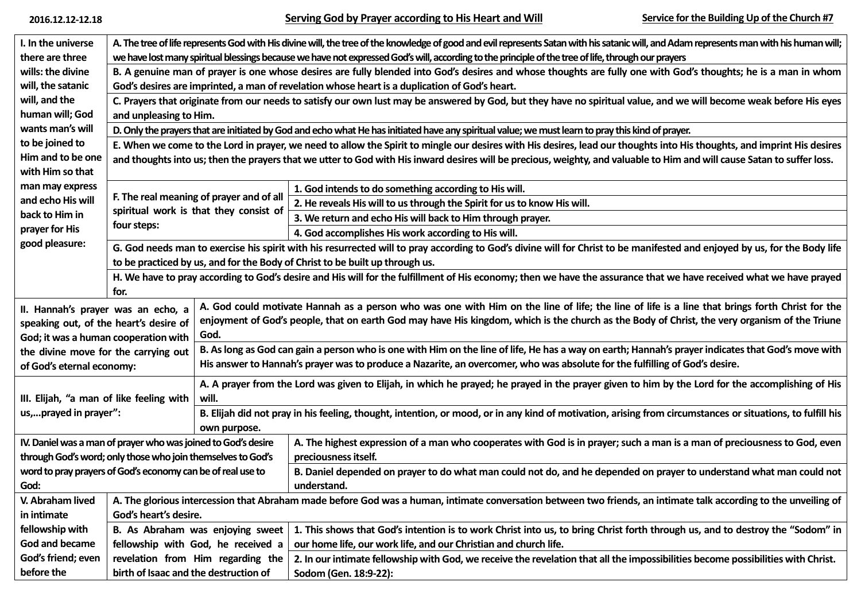**2016.12.12-12.18 Serving God by Prayer according to His Heart and Will Service for the Building Up of the Church #7**

| I. In the universe                                            | A. The tree of life represents God with His divine will, the tree of the knowledge of good and evil represents Satan with his satanic will, and Adam represents man with his human will; |                                                                                                                                                                            |                                                                                                                                                                  |  |  |  |  |  |
|---------------------------------------------------------------|------------------------------------------------------------------------------------------------------------------------------------------------------------------------------------------|----------------------------------------------------------------------------------------------------------------------------------------------------------------------------|------------------------------------------------------------------------------------------------------------------------------------------------------------------|--|--|--|--|--|
| there are three                                               | we have lost many spiritual blessings because we have not expressed God's will, according to the principle of the tree of life, through our prayers                                      |                                                                                                                                                                            |                                                                                                                                                                  |  |  |  |  |  |
| wills: the divine                                             | B. A genuine man of prayer is one whose desires are fully blended into God's desires and whose thoughts are fully one with God's thoughts; he is a man in whom                           |                                                                                                                                                                            |                                                                                                                                                                  |  |  |  |  |  |
| will, the satanic                                             | God's desires are imprinted, a man of revelation whose heart is a duplication of God's heart.                                                                                            |                                                                                                                                                                            |                                                                                                                                                                  |  |  |  |  |  |
| will, and the                                                 | C. Prayers that originate from our needs to satisfy our own lust may be answered by God, but they have no spiritual value, and we will become weak before His eyes                       |                                                                                                                                                                            |                                                                                                                                                                  |  |  |  |  |  |
| human will; God                                               | and unpleasing to Him.                                                                                                                                                                   |                                                                                                                                                                            |                                                                                                                                                                  |  |  |  |  |  |
| wants man's will                                              | D. Only the prayers that are initiated by God and echo what He has initiated have any spiritual value; we must learn to pray this kind of prayer.                                        |                                                                                                                                                                            |                                                                                                                                                                  |  |  |  |  |  |
| to be joined to                                               | E. When we come to the Lord in prayer, we need to allow the Spirit to mingle our desires with His desires, lead our thoughts into His thoughts, and imprint His desires                  |                                                                                                                                                                            |                                                                                                                                                                  |  |  |  |  |  |
| Him and to be one<br>with Him so that                         | and thoughts into us; then the prayers that we utter to God with His inward desires will be precious, weighty, and valuable to Him and will cause Satan to suffer loss.                  |                                                                                                                                                                            |                                                                                                                                                                  |  |  |  |  |  |
| man may express<br>and echo His will<br>back to Him in        | F. The real meaning of prayer and of all<br>spiritual work is that they consist of<br>four steps:                                                                                        |                                                                                                                                                                            | 1. God intends to do something according to His will.                                                                                                            |  |  |  |  |  |
|                                                               |                                                                                                                                                                                          |                                                                                                                                                                            | 2. He reveals His will to us through the Spirit for us to know His will.                                                                                         |  |  |  |  |  |
|                                                               |                                                                                                                                                                                          |                                                                                                                                                                            | 3. We return and echo His will back to Him through prayer.                                                                                                       |  |  |  |  |  |
| prayer for His                                                |                                                                                                                                                                                          |                                                                                                                                                                            | 4. God accomplishes His work according to His will.                                                                                                              |  |  |  |  |  |
| good pleasure:                                                | G. God needs man to exercise his spirit with his resurrected will to pray according to God's divine will for Christ to be manifested and enjoyed by us, for the Body life                |                                                                                                                                                                            |                                                                                                                                                                  |  |  |  |  |  |
|                                                               | to be practiced by us, and for the Body of Christ to be built up through us.                                                                                                             |                                                                                                                                                                            |                                                                                                                                                                  |  |  |  |  |  |
|                                                               | for.                                                                                                                                                                                     | H. We have to pray according to God's desire and His will for the fulfillment of His economy; then we have the assurance that we have received what we have prayed         |                                                                                                                                                                  |  |  |  |  |  |
| II. Hannah's prayer was an echo, a                            | A. God could motivate Hannah as a person who was one with Him on the line of life; the line of life is a line that brings forth Christ for the                                           |                                                                                                                                                                            |                                                                                                                                                                  |  |  |  |  |  |
| speaking out, of the heart's desire of                        |                                                                                                                                                                                          | enjoyment of God's people, that on earth God may have His kingdom, which is the church as the Body of Christ, the very organism of the Triune                              |                                                                                                                                                                  |  |  |  |  |  |
| God; it was a human cooperation with                          |                                                                                                                                                                                          | God.                                                                                                                                                                       |                                                                                                                                                                  |  |  |  |  |  |
| the divine move for the carrying out                          |                                                                                                                                                                                          | B. As long as God can gain a person who is one with Him on the line of life, He has a way on earth; Hannah's prayer indicates that God's move with                         |                                                                                                                                                                  |  |  |  |  |  |
| of God's eternal economy:                                     |                                                                                                                                                                                          | His answer to Hannah's prayer was to produce a Nazarite, an overcomer, who was absolute for the fulfilling of God's desire.                                                |                                                                                                                                                                  |  |  |  |  |  |
|                                                               |                                                                                                                                                                                          | A. A prayer from the Lord was given to Elijah, in which he prayed; he prayed in the prayer given to him by the Lord for the accomplishing of His                           |                                                                                                                                                                  |  |  |  |  |  |
| III. Elijah, "a man of like feeling with                      |                                                                                                                                                                                          | will.                                                                                                                                                                      |                                                                                                                                                                  |  |  |  |  |  |
| us,prayed in prayer":                                         |                                                                                                                                                                                          | B. Elijah did not pray in his feeling, thought, intention, or mood, or in any kind of motivation, arising from circumstances or situations, to fulfill his<br>own purpose. |                                                                                                                                                                  |  |  |  |  |  |
| IV. Daniel was a man of prayer who was joined to God's desire |                                                                                                                                                                                          |                                                                                                                                                                            | A. The highest expression of a man who cooperates with God is in prayer; such a man is a man of preciousness to God, even                                        |  |  |  |  |  |
| through God's word; only those who join themselves to God's   |                                                                                                                                                                                          |                                                                                                                                                                            | preciousness itself.                                                                                                                                             |  |  |  |  |  |
| word to pray prayers of God's economy can be of real use to   |                                                                                                                                                                                          |                                                                                                                                                                            | B. Daniel depended on prayer to do what man could not do, and he depended on prayer to understand what man could not                                             |  |  |  |  |  |
| God:                                                          |                                                                                                                                                                                          |                                                                                                                                                                            | understand.                                                                                                                                                      |  |  |  |  |  |
| V. Abraham lived                                              |                                                                                                                                                                                          |                                                                                                                                                                            | A. The glorious intercession that Abraham made before God was a human, intimate conversation between two friends, an intimate talk according to the unveiling of |  |  |  |  |  |
| in intimate                                                   | God's heart's desire.                                                                                                                                                                    |                                                                                                                                                                            |                                                                                                                                                                  |  |  |  |  |  |
| fellowship with                                               | 1. This shows that God's intention is to work Christ into us, to bring Christ forth through us, and to destroy the "Sodom" in<br>B. As Abraham was enjoying sweet                        |                                                                                                                                                                            |                                                                                                                                                                  |  |  |  |  |  |
| God and became                                                | fellowship with God, he received a<br>our home life, our work life, and our Christian and church life.                                                                                   |                                                                                                                                                                            |                                                                                                                                                                  |  |  |  |  |  |
| God's friend; even                                            |                                                                                                                                                                                          | revelation from Him regarding the                                                                                                                                          | 2. In our intimate fellowship with God, we receive the revelation that all the impossibilities become possibilities with Christ.                                 |  |  |  |  |  |
| before the                                                    | birth of Isaac and the destruction of                                                                                                                                                    |                                                                                                                                                                            | Sodom (Gen. 18:9-22):                                                                                                                                            |  |  |  |  |  |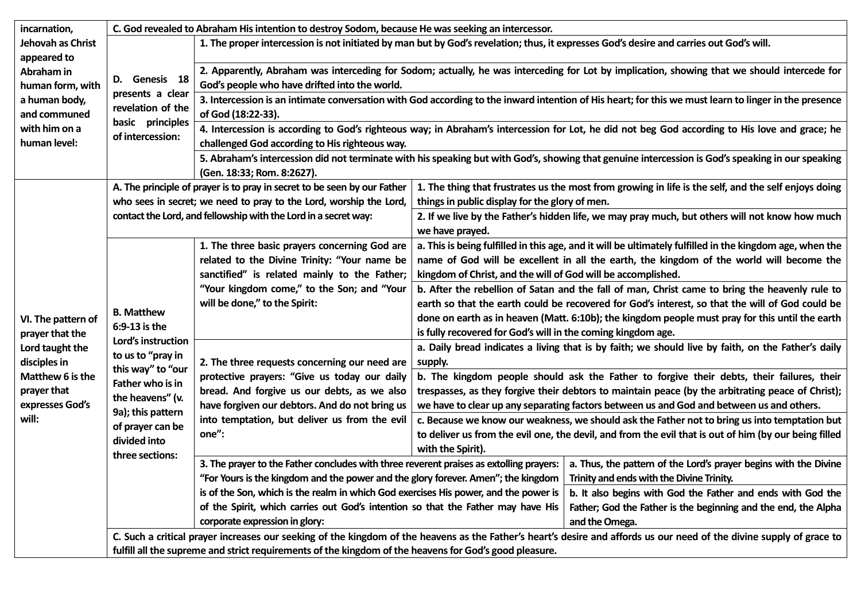| incarnation,<br>Jehovah as Christ<br>appeared to<br>Abraham in<br>human form, with<br>a human body,<br>and communed<br>with him on a<br>human level: | C. God revealed to Abraham His intention to destroy Sodom, because He was seeking an intercessor.                                                                                                                      |                                                                                                                                                                                                                                                                                           |                                                                                                                                                                                                                                                                      |                |  |  |
|------------------------------------------------------------------------------------------------------------------------------------------------------|------------------------------------------------------------------------------------------------------------------------------------------------------------------------------------------------------------------------|-------------------------------------------------------------------------------------------------------------------------------------------------------------------------------------------------------------------------------------------------------------------------------------------|----------------------------------------------------------------------------------------------------------------------------------------------------------------------------------------------------------------------------------------------------------------------|----------------|--|--|
|                                                                                                                                                      | D. Genesis 18<br>presents a clear<br>revelation of the<br>basic principles<br>of intercession:                                                                                                                         | 1. The proper intercession is not initiated by man but by God's revelation; thus, it expresses God's desire and carries out God's will.                                                                                                                                                   |                                                                                                                                                                                                                                                                      |                |  |  |
|                                                                                                                                                      |                                                                                                                                                                                                                        | 2. Apparently, Abraham was interceding for Sodom; actually, he was interceding for Lot by implication, showing that we should intercede for<br>God's people who have drifted into the world.                                                                                              |                                                                                                                                                                                                                                                                      |                |  |  |
|                                                                                                                                                      |                                                                                                                                                                                                                        | 3. Intercession is an intimate conversation with God according to the inward intention of His heart; for this we must learn to linger in the presence<br>of God (18:22-33).                                                                                                               |                                                                                                                                                                                                                                                                      |                |  |  |
|                                                                                                                                                      |                                                                                                                                                                                                                        | 4. Intercession is according to God's righteous way; in Abraham's intercession for Lot, he did not beg God according to His love and grace; he<br>challenged God according to His righteous way.                                                                                          |                                                                                                                                                                                                                                                                      |                |  |  |
|                                                                                                                                                      |                                                                                                                                                                                                                        | 5. Abraham's intercession did not terminate with his speaking but with God's, showing that genuine intercession is God's speaking in our speaking<br>(Gen. 18:33; Rom. 8:2627).                                                                                                           |                                                                                                                                                                                                                                                                      |                |  |  |
| VI. The pattern of<br>prayer that the<br>Lord taught the<br>disciples in<br>Matthew 6 is the<br>prayer that<br>expresses God's<br>will:              |                                                                                                                                                                                                                        | A. The principle of prayer is to pray in secret to be seen by our Father                                                                                                                                                                                                                  | 1. The thing that frustrates us the most from growing in life is the self, and the self enjoys doing                                                                                                                                                                 |                |  |  |
|                                                                                                                                                      | who sees in secret; we need to pray to the Lord, worship the Lord,<br>contact the Lord, and fellowship with the Lord in a secret way:                                                                                  |                                                                                                                                                                                                                                                                                           | things in public display for the glory of men.                                                                                                                                                                                                                       |                |  |  |
|                                                                                                                                                      |                                                                                                                                                                                                                        |                                                                                                                                                                                                                                                                                           | 2. If we live by the Father's hidden life, we may pray much, but others will not know how much<br>we have prayed.                                                                                                                                                    |                |  |  |
|                                                                                                                                                      | <b>B. Matthew</b><br>6:9-13 is the<br>Lord's instruction<br>to us to "pray in<br>this way" to "our<br>Father who is in<br>the heavens" (v.<br>9a); this pattern<br>of prayer can be<br>divided into<br>three sections: | 1. The three basic prayers concerning God are<br>related to the Divine Trinity: "Your name be<br>sanctified" is related mainly to the Father;<br>"Your kingdom come," to the Son; and "Your<br>will be done," to the Spirit:                                                              | a. This is being fulfilled in this age, and it will be ultimately fulfilled in the kingdom age, when the<br>name of God will be excellent in all the earth, the kingdom of the world will become the<br>kingdom of Christ, and the will of God will be accomplished. |                |  |  |
|                                                                                                                                                      |                                                                                                                                                                                                                        |                                                                                                                                                                                                                                                                                           | b. After the rebellion of Satan and the fall of man, Christ came to bring the heavenly rule to                                                                                                                                                                       |                |  |  |
|                                                                                                                                                      |                                                                                                                                                                                                                        |                                                                                                                                                                                                                                                                                           | earth so that the earth could be recovered for God's interest, so that the will of God could be                                                                                                                                                                      |                |  |  |
|                                                                                                                                                      |                                                                                                                                                                                                                        |                                                                                                                                                                                                                                                                                           | done on earth as in heaven (Matt. 6:10b); the kingdom people must pray for this until the earth<br>is fully recovered for God's will in the coming kingdom age.                                                                                                      |                |  |  |
|                                                                                                                                                      |                                                                                                                                                                                                                        | 2. The three requests concerning our need are<br>protective prayers: "Give us today our daily                                                                                                                                                                                             | a. Daily bread indicates a living that is by faith; we should live by faith, on the Father's daily<br>supply.                                                                                                                                                        |                |  |  |
|                                                                                                                                                      |                                                                                                                                                                                                                        |                                                                                                                                                                                                                                                                                           | b. The kingdom people should ask the Father to forgive their debts, their failures, their                                                                                                                                                                            |                |  |  |
|                                                                                                                                                      |                                                                                                                                                                                                                        | bread. And forgive us our debts, as we also                                                                                                                                                                                                                                               | trespasses, as they forgive their debtors to maintain peace (by the arbitrating peace of Christ);                                                                                                                                                                    |                |  |  |
|                                                                                                                                                      |                                                                                                                                                                                                                        | have forgiven our debtors. And do not bring us                                                                                                                                                                                                                                            | we have to clear up any separating factors between us and God and between us and others.                                                                                                                                                                             |                |  |  |
|                                                                                                                                                      |                                                                                                                                                                                                                        | into temptation, but deliver us from the evil<br>one":                                                                                                                                                                                                                                    | c. Because we know our weakness, we should ask the Father not to bring us into temptation but                                                                                                                                                                        |                |  |  |
|                                                                                                                                                      |                                                                                                                                                                                                                        |                                                                                                                                                                                                                                                                                           | to deliver us from the evil one, the devil, and from the evil that is out of him (by our being filled                                                                                                                                                                |                |  |  |
|                                                                                                                                                      |                                                                                                                                                                                                                        | 3. The prayer to the Father concludes with three reverent praises as extolling prayers:                                                                                                                                                                                                   | with the Spirit).                                                                                                                                                                                                                                                    |                |  |  |
|                                                                                                                                                      |                                                                                                                                                                                                                        |                                                                                                                                                                                                                                                                                           | a. Thus, the pattern of the Lord's prayer begins with the Divine                                                                                                                                                                                                     |                |  |  |
|                                                                                                                                                      |                                                                                                                                                                                                                        | "For Yours is the kingdom and the power and the glory forever. Amen"; the kingdom $\mid$ Trinity and ends with the Divine Trinity.<br>is of the Son, which is the realm in which God exercises His power, and the power is<br>b. It also begins with God the Father and ends with God the |                                                                                                                                                                                                                                                                      |                |  |  |
|                                                                                                                                                      |                                                                                                                                                                                                                        | of the Spirit, which carries out God's intention so that the Father may have His<br>Father; God the Father is the beginning and the end, the Alpha                                                                                                                                        |                                                                                                                                                                                                                                                                      |                |  |  |
|                                                                                                                                                      |                                                                                                                                                                                                                        | corporate expression in glory:                                                                                                                                                                                                                                                            |                                                                                                                                                                                                                                                                      | and the Omega. |  |  |
|                                                                                                                                                      | C. Such a critical prayer increases our seeking of the kingdom of the heavens as the Father's heart's desire and affords us our need of the divine supply of grace to                                                  |                                                                                                                                                                                                                                                                                           |                                                                                                                                                                                                                                                                      |                |  |  |
|                                                                                                                                                      | fulfill all the supreme and strict requirements of the kingdom of the heavens for God's good pleasure.                                                                                                                 |                                                                                                                                                                                                                                                                                           |                                                                                                                                                                                                                                                                      |                |  |  |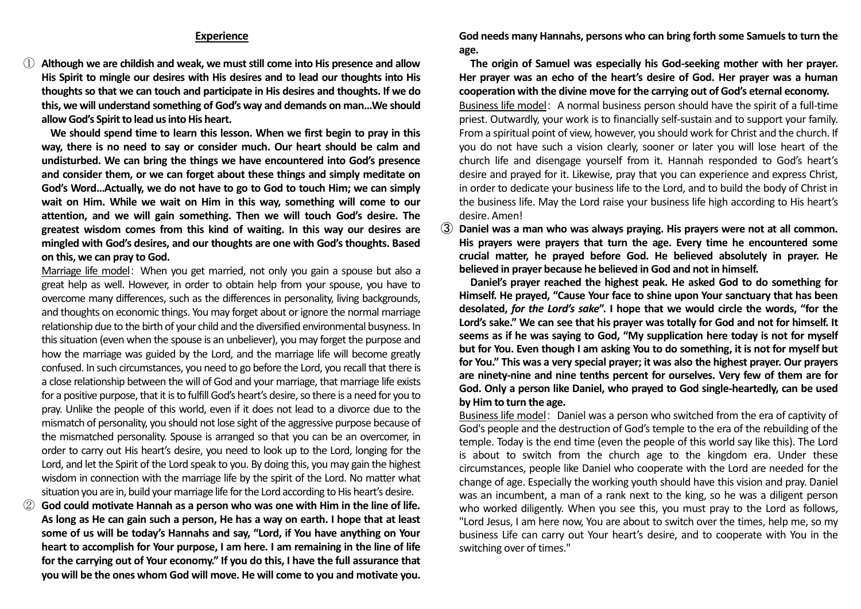## **Experience**

① **Although we are childish and weak, we must still come into His presence and allow His Spirit to mingle our desires with His desires and to lead our thoughts into His thoughts so that we can touch and participate in His desires and thoughts. If we do this, we will understand something of God's way and demands on man…We should allow God's Spirit to lead us into His heart.** 

 **We should spend time to learn this lesson. When we first begin to pray in this way, there is no need to say or consider much. Our heart should be calm and undisturbed. We can bring the things we have encountered into God's presence and consider them, or we can forget about these things and simply meditate on God's Word…Actually, we do not have to go to God to touch Him; we can simply wait on Him. While we wait on Him in this way, something will come to our attention, and we will gain something. Then we will touch God's desire. The greatest wisdom comes from this kind of waiting. In this way our desires are mingled with God's desires, and our thoughts are one with God's thoughts. Based on this, we can pray to God.**

Marriage life model: When you get married, not only you gain a spouse but also a great help as well. However, in order to obtain help from your spouse, you have to overcome many differences, such as the differences in personality, living backgrounds, and thoughts on economic things. You may forget about or ignore the normal marriage relationship due to the birth of your child and the diversified environmental busyness. In this situation (even when the spouse is an unbeliever), you may forget the purpose and how the marriage was guided by the Lord, and the marriage life will become greatly confused. In such circumstances, you need to go before the Lord, you recall that there is a close relationship between the will of God and your marriage, that marriage life exists for a positive purpose, that it is to fulfill God's heart's desire, so there is a need for you to pray. Unlike the people of this world, even if it does not lead to a divorce due to the mismatch of personality, you should not lose sight of the aggressive purpose because of the mismatched personality. Spouse is arranged so that you can be an overcomer, in order to carry out His heart's desire, you need to look up to the Lord, longing for the Lord, and let the Spirit of the Lord speak to you. By doing this, you may gain the highest wisdom in connection with the marriage life by the spirit of the Lord. No matter what situation you are in, build your marriage life for the Lord according to His heart's desire.

God could motivate Hannah as a person who was one with Him in the line of life. **As long as He can gain such a person, He has a way on earth. I hope that at least some of us will be today's Hannahs and say, "Lord, if You have anything on Your heart to accomplish for Your purpose, I am here. I am remaining in the line of life for the carrying out of Your economy." If you do this, I have the full assurance that you will be the ones whom God will move. He will come to you and motivate you.** 

**God needs many Hannahs, persons who can bring forth some Samuels to turn the age.**

 **The origin of Samuel was especially his God-seeking mother with her prayer. Her prayer was an echo of the heart's desire of God. Her prayer was a human cooperation with the divine move for the carrying out of God's eternal economy.** Business life model: A normal business person should have the spirit of a full-time priest. Outwardly, your work is to financially self-sustain and to support your family. From a spiritual point of view, however, you should work for Christ and the church. If you do not have such a vision clearly, sooner or later you will lose heart of the church life and disengage yourself from it. Hannah responded to God's heart's desire and prayed for it. Likewise, pray that you can experience and express Christ, in order to dedicate your business life to the Lord, and to build the body of Christ in the business life. May the Lord raise your business life high according to His heart's desire. Amen!

③ **Daniel was a man who was always praying. His prayers were not at all common. His prayers were prayers that turn the age. Every time he encountered some crucial matter, he prayed before God. He believed absolutely in prayer. He believed in prayer because he believed in God and not in himself.**

 **Daniel's prayer reached the highest peak. He asked God to do something for Himself. He prayed, "Cause Your face to shine upon Your sanctuary that has been desolated,** *for the Lord's sake***". I hope that we would circle the words, "for the Lord's sake." We can see that his prayer was totally for God and not for himself. It seems as if he was saying to God, "My supplication here today is not for myself but for You. Even though I am asking You to do something, it is not for myself but for You." This was a very special prayer; it was also the highest prayer. Our prayers are ninety-nine and nine tenths percent for ourselves. Very few of them are for God. Only a person like Daniel, who prayed to God single-heartedly, can be used by Him to turn the age.**

Business life model: Daniel was a person who switched from the era of captivity of God's people and the destruction of God's temple to the era of the rebuilding of the temple. Today is the end time (even the people of this world say like this). The Lord is about to switch from the church age to the kingdom era. Under these circumstances, people like Daniel who cooperate with the Lord are needed for the change of age. Especially the working youth should have this vision and pray. Daniel was an incumbent, a man of a rank next to the king, so he was a diligent person who worked diligently. When you see this, you must pray to the Lord as follows, "Lord Jesus, I am here now, You are about to switch over the times, help me, so my business Life can carry out Your heart's desire, and to cooperate with You in the switching over of times."